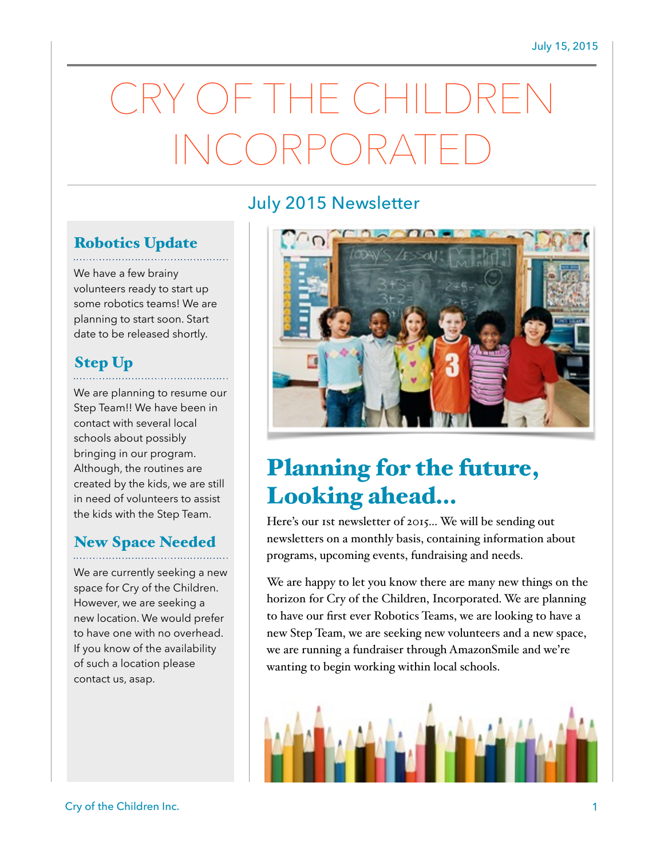# $-$  (  $\rightarrow$   $\parallel$   $\parallel$ INCORPORATED

# July 2015 Newsletter

# Robotics Update

We have a few brainy volunteers ready to start up some robotics teams! We are planning to start soon. Start date to be released shortly.

## Step Up

We are planning to resume our Step Team!! We have been in contact with several local schools about possibly bringing in our program. Although, the routines are created by the kids, we are still in need of volunteers to assist the kids with the Step Team.

# New Space Needed

We are currently seeking a new space for Cry of the Children. However, we are seeking a new location. We would prefer to have one with no overhead. If you know of the availability of such a location please contact us, asap.



# Planning for the future, Looking ahead…

Here's our 1st newsletter of 2015… We will be sending out newsletters on a monthly basis, containing information about programs, upcoming events, fundraising and needs.

We are happy to let you know there are many new things on the horizon for Cry of the Children, Incorporated. We are planning to have our first ever Robotics Teams, we are looking to have a new Step Team, we are seeking new volunteers and a new space, we are running a fundraiser through AmazonSmile and we're wanting to begin working within local schools.